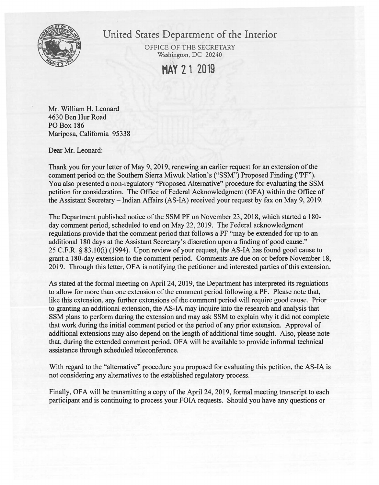

United States Department of the Interior

OFFICE OF THE SECRETARY Washington, DC 20240

**MAY 21 2019** 

Mr. William H. Leonard 4630 Ben Hur Road PO Box 186 Mariposa, California 95338

Dear Mr. Leonard:

Thank you for your letter of May 9, 2019, renewing an earlier request for an extension of the comment period on the Southern Sierra Miwuk Nation's ("SSM") Proposed Finding ("PF"). You also presented a non-regulatory "Proposed Alternative" procedure for evaluating the SSM petition for consideration. The Office of Federal Acknowledgment (OF A) within the Office of the Assistant Secretary- Indian Affairs (AS-IA) received your request by fax on May 9, 2019.

The Department published notice of the SSM PF on November 23, 2018, which started a 180 day comment period, scheduled to end on May 22, 2019. The Federal acknowledgment regulations provide that the comment period that follows a PF "may be extended for up to an additional 180 days at the Assistant Secretary's discretion upon a finding of good cause." 25 C.F.R. § 83.lO(i) (1994). Upon review of your request, the AS-IA has found good cause to grant a 180-day extension to the comment period. Comments are due on or before November 18, 2019. Through this letter, OFA is notifying the petitioner and interested parties of this extension.

As stated at the formal meeting on April 24, 2019, the Department has interpreted its regulations to allow for more than one extension of the comment period following a PF. Please note that, like this extension, any further extensions of the comment period will require good cause. Prior to granting an additional extension, the AS-IA may inquire into the research and analysis that SSM plans to perform during the extension and may ask SSM to explain why it did not complete that work during the initial comment period or the period of any prior extension. Approval of additional extensions may also depend on the length of additional time sought. Also, please note that, during the extended comment period, OF A will be available to provide informal technical assistance through scheduled teleconference.

With regard to the "alternative" procedure you proposed for evaluating this petition, the AS-IA is not considering any alternatives to the established regulatory process.

Finally, OFA will be transmitting a copy of the April 24, 2019, formal meeting transcript to each participant and is continuing to process your FOIA requests. Should you have any questions or